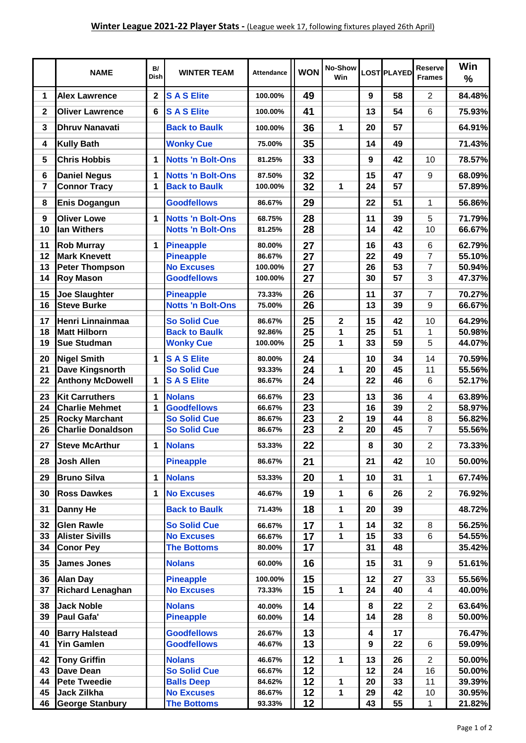|                | <b>NAME</b>                                    | B/<br><b>Dish</b> | <b>WINTER TEAM</b>                                   | <b>Attendance</b> | <b>WON</b>      | No-Show<br>Win |          | LOST PLAYED | <b>Reserve</b><br><b>Frames</b>           | Win<br>$\frac{0}{0}$ |
|----------------|------------------------------------------------|-------------------|------------------------------------------------------|-------------------|-----------------|----------------|----------|-------------|-------------------------------------------|----------------------|
| $\mathbf 1$    | <b>Alex Lawrence</b>                           | $\mathbf{2}$      | <b>SASElite</b>                                      | 100.00%           | 49              |                | 9        | 58          | $\overline{2}$                            | 84.48%               |
| $\mathbf{2}$   | <b>Oliver Lawrence</b>                         | 6                 | <b>SASElite</b>                                      | 100.00%           | 41              |                | 13       | 54          | 6                                         | 75.93%               |
| $\mathbf{3}$   | <b>Dhruv Nanavati</b>                          |                   | <b>Back to Baulk</b>                                 | 100.00%           | 36              | 1              | 20       | 57          |                                           | 64.91%               |
| 4              | <b>Kully Bath</b>                              |                   | <b>Wonky Cue</b>                                     | 75.00%            | 35              |                | 14       | 49          |                                           | 71.43%               |
| 5              | <b>Chris Hobbis</b>                            | 1                 | <b>Notts 'n Bolt-Ons</b>                             | 81.25%            | 33              |                | 9        | 42          | 10                                        | 78.57%               |
| $\bf 6$        | <b>Daniel Negus</b>                            | 1                 | <b>Notts 'n Bolt-Ons</b>                             | 87.50%            | 32              |                | 15       | 47          | 9                                         | 68.09%               |
| $\overline{7}$ | <b>Connor Tracy</b>                            | 1                 | <b>Back to Baulk</b>                                 | 100.00%           | 32              | 1              | 24       | 57          |                                           | 57.89%               |
| 8              | <b>Enis Dogangun</b>                           |                   | <b>Goodfellows</b>                                   | 86.67%            | 29              |                | 22       | 51          | $\mathbf{1}$                              | 56.86%               |
|                | <b>Oliver Lowe</b>                             | 1                 |                                                      | 68.75%            |                 |                |          |             | 5                                         | 71.79%               |
| 9<br>10        | lan Withers                                    |                   | <b>Notts 'n Bolt-Ons</b><br><b>Notts 'n Bolt-Ons</b> | 81.25%            | 28<br>28        |                | 11<br>14 | 39<br>42    | 10                                        | 66.67%               |
|                |                                                |                   |                                                      |                   |                 |                |          |             |                                           |                      |
| 11<br>12       | <b>Rob Murray</b><br><b>Mark Knevett</b>       | $\mathbf 1$       | <b>Pineapple</b><br><b>Pineapple</b>                 | 80.00%<br>86.67%  | 27<br>27        |                | 16<br>22 | 43<br>49    | 6<br>$\overline{7}$                       | 62.79%<br>55.10%     |
| 13             | <b>Peter Thompson</b>                          |                   | <b>No Excuses</b>                                    | 100.00%           | 27              |                | 26       | 53          | $\overline{7}$                            | 50.94%               |
| 14             | <b>Roy Mason</b>                               |                   | <b>Goodfellows</b>                                   | 100.00%           | 27              |                | 30       | 57          | 3                                         | 47.37%               |
|                |                                                |                   |                                                      |                   |                 |                |          |             |                                           |                      |
| 15<br>16       | <b>Joe Slaughter</b><br><b>Steve Burke</b>     |                   | <b>Pineapple</b><br><b>Notts 'n Bolt-Ons</b>         | 73.33%<br>75.00%  | 26<br>26        |                | 11<br>13 | 37<br>39    | 7<br>9                                    | 70.27%<br>66.67%     |
| 17             | Henri Linnainmaa                               |                   | <b>So Solid Cue</b>                                  | 86.67%            | $\overline{25}$ | 2              | 15       | 42          | 10                                        | 64.29%               |
| 18             | <b>Matt Hilborn</b>                            |                   | <b>Back to Baulk</b>                                 | 92.86%            | $\overline{25}$ | 1              | 25       | 51          | $\mathbf{1}$                              | 50.98%               |
| 19             | <b>Sue Studman</b>                             |                   | <b>Wonky Cue</b>                                     | 100.00%           | $\overline{25}$ | 1              | 33       | 59          | 5                                         | 44.07%               |
|                |                                                |                   |                                                      |                   |                 |                |          |             |                                           |                      |
| 20<br>21       | <b>Nigel Smith</b><br>Dave Kingsnorth          | 1                 | <b>SASElite</b><br><b>So Solid Cue</b>               | 80.00%<br>93.33%  | 24<br>24        | 1              | 10<br>20 | 34<br>45    | 14<br>11                                  | 70.59%<br>55.56%     |
| 22             | <b>Anthony McDowell</b>                        | 1                 | <b>SASElite</b>                                      | 86.67%            | 24              |                | 22       | 46          | 6                                         | 52.17%               |
|                |                                                |                   |                                                      |                   |                 |                |          |             |                                           |                      |
| 23<br>24       | <b>Kit Carruthers</b><br><b>Charlie Mehmet</b> | 1<br>$\mathbf{1}$ | <b>Nolans</b><br><b>Goodfellows</b>                  | 66.67%<br>66.67%  | 23<br>23        |                | 13<br>16 | 36<br>39    | $\overline{\mathbf{4}}$<br>$\overline{2}$ | 63.89%<br>58.97%     |
| 25             | <b>Rocky Marchant</b>                          |                   | <b>So Solid Cue</b>                                  | 86.67%            | 23              | $\mathbf{2}$   | 19       | 44          | 8                                         | 56.82%               |
| 26             | <b>Charlie Donaldson</b>                       |                   | <b>So Solid Cue</b>                                  | 86.67%            | 23              | $\mathbf{2}$   | 20       | 45          | $\overline{7}$                            | 55.56%               |
| 27             | <b>Steve McArthur</b>                          | 1                 | <b>Nolans</b>                                        | 53.33%            | $\overline{22}$ |                | 8        | 30          | $\overline{2}$                            | 73.33%               |
| 28             | Josh Allen                                     |                   | <b>Pineapple</b>                                     | 86.67%            | 21              |                | 21       | 42          | 10                                        | 50.00%               |
| 29             | <b>Bruno Silva</b>                             | $\mathbf{1}$      | <b>Nolans</b>                                        | 53.33%            | 20              | 1              | 10       | 31          | $\mathbf{1}$                              | 67.74%               |
| 30             | <b>Ross Dawkes</b>                             | 1                 | <b>No Excuses</b>                                    | 46.67%            | 19              | 1              | 6        | 26          | $\overline{2}$                            | 76.92%               |
| 31             | <b>Danny He</b>                                |                   | <b>Back to Baulk</b>                                 | 71.43%            | 18              | 1              | 20       | 39          |                                           | 48.72%               |
| 32             | <b>Glen Rawle</b>                              |                   | <b>So Solid Cue</b>                                  | 66.67%            | 17              | 1              | 14       | 32          | 8                                         | 56.25%               |
| 33             | <b>Alister Sivills</b>                         |                   | <b>No Excuses</b>                                    | 66.67%            | 17              | 1              | 15       | 33          | 6                                         | 54.55%               |
| 34             | <b>Conor Pey</b>                               |                   | <b>The Bottoms</b>                                   | 80.00%            | 17              |                | 31       | 48          |                                           | 35.42%               |
| 35             | <b>James Jones</b>                             |                   | <b>Nolans</b>                                        | 60.00%            | 16              |                | 15       | 31          | 9                                         | 51.61%               |
| 36             | <b>Alan Day</b>                                |                   | <b>Pineapple</b>                                     | 100.00%           | 15              |                | 12       | 27          | 33                                        | 55.56%               |
| 37             | <b>Richard Lenaghan</b>                        |                   | <b>No Excuses</b>                                    | 73.33%            | 15              | 1              | 24       | 40          | 4                                         | 40.00%               |
|                |                                                |                   |                                                      |                   |                 |                |          |             |                                           |                      |
| 38<br>39       | <b>Jack Noble</b><br>Paul Gafa'                |                   | <b>Nolans</b><br><b>Pineapple</b>                    | 40.00%<br>60.00%  | 14<br>14        |                | 8<br>14  | 22<br>28    | $\overline{2}$<br>8                       | 63.64%<br>50.00%     |
|                |                                                |                   |                                                      |                   |                 |                |          |             |                                           |                      |
| 40             | <b>Barry Halstead</b>                          |                   | <b>Goodfellows</b>                                   | 26.67%            | 13              |                | 4        | 17          |                                           | 76.47%               |
| 41             | Yin Gamlen                                     |                   | <b>Goodfellows</b>                                   | 46.67%            | 13              |                | 9        | 22          | 6                                         | 59.09%               |
| 42             | <b>Tony Griffin</b>                            |                   | <b>Nolans</b>                                        | 46.67%            | 12              | 1              | 13       | 26          | $\overline{2}$                            | 50.00%               |
| 43             | <b>Dave Dean</b>                               |                   | <b>So Solid Cue</b>                                  | 66.67%            | 12              |                | 12       | 24          | 16                                        | 50.00%               |
| 44             | <b>Pete Tweedie</b>                            |                   | <b>Balls Deep</b>                                    | 84.62%            | 12              | 1              | 20       | 33          | 11                                        | 39.39%               |
| 45<br>46       | <b>Jack Zilkha</b><br><b>George Stanbury</b>   |                   | <b>No Excuses</b>                                    | 86.67%<br>93.33%  | 12              | 1              | 29<br>43 | 42          | 10<br>$\mathbf{1}$                        | 30.95%               |
|                |                                                |                   | <b>The Bottoms</b>                                   |                   | 12              |                |          | 55          |                                           | 21.82%               |